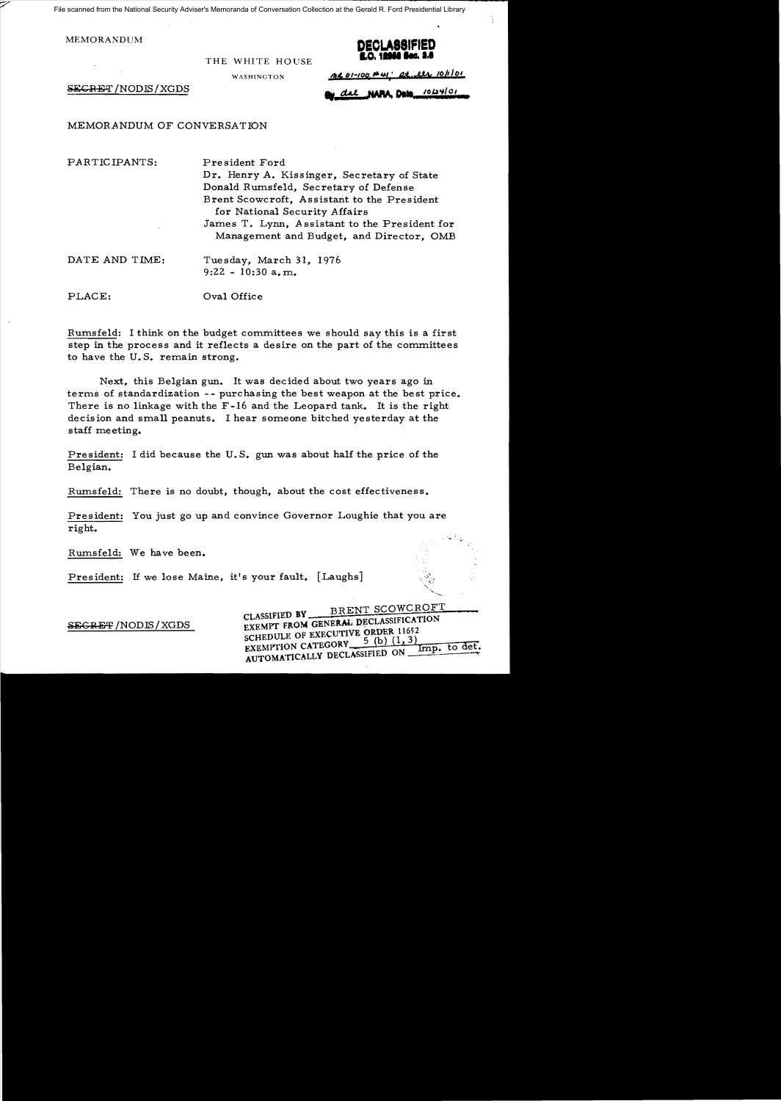File scanned from the National Security Adviser's Memoranda of Conversation Collection at the Gerald R. Ford Presidential Library

THE WHITE HOUSE

WASHINGTON



 $AC01-100.$ #41' at eth 10/1/01

SECRET /NODIS/XGDS

del NAPA, Date 10124/01

MEMORANDUM OF CONVERSATION

PARTICIPANTS: President Ford

Dr. Henry A. Kissinger, Secretary of State Donald Rumsfeld, Secretary of Defense Brent Scowcroft, Assistant to the President for National Security Affairs James T. Lynn, *A* ssistant to the President for Management and Budget, and Director, OMB

DATE AND TIME: Tuesday, March 31, 1976 9:22 - 10:30 a. m.

PLACE:  $Oval$  Office

Rumsfeld: I think on the budget committees we should say this is a first step in the process and it reflects a desire on the part of the committees to have the U. S. remain strong.

Next, this Belgian gun. It was decided about two years ago in terms of standardization -- purchasing the best weapon at the best price. There is no linkage with the F-16 and the Leopard tank. It is the right decision and small peanuts. I hear someone bitched yesterday at the staff meeting.

President: I did because the U. S. gun was about half the price of the Belgian.

Rumsfeld: There is no doubt, though, about the cost effectiveness.

President: You just go up and convince Governor Loughie that you are right.

Rumsfeld: We have been.

President: If we lose Maine, it's your fault. [Laughs]

BRENT SCOWCROFT GLASSIFIED BY BRENT SUUWURDE SCHEDULE OF EXECUTIVE ORDER 11652<br>EXEMPTION CATEGORY  $=$   $\frac{5}{10}$  (b) (1, 3) EXEMPTION CATEGORY\_ AUTOMATICALLY DECLASSIFIED ON ...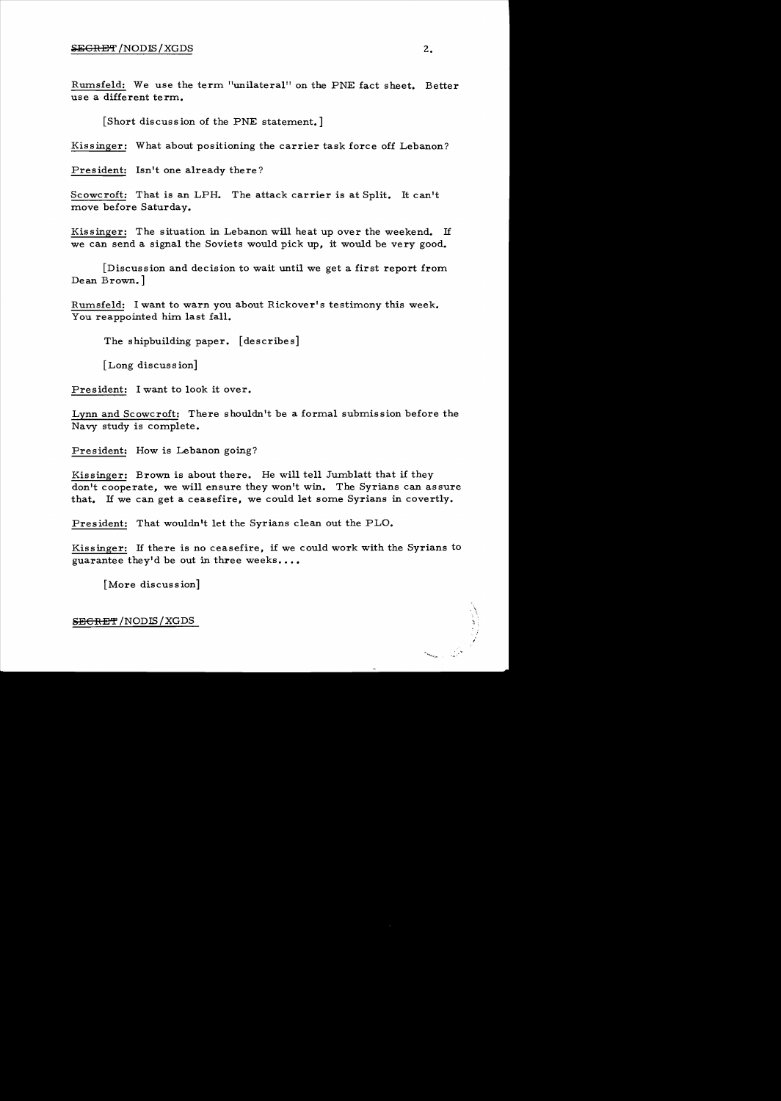Rmnsfeld: We use the term "unilateral" on the PNE fact sheet. Better use a different term.

[Short discussion of the PNE statement.]

Kissinger: What about positioning the carrier task force off Lebanon?

President: Isn't one already there?

Scowcroft: That is an LPH. The attack carrier is at Split. It can't move before Saturday.

Kissinger: The situation in Lebanon will heat up over the weekend. If we can send a signal the Soviets would pick up, it would be very good.

[Discussion and decision to wait until we get a first report from Dean Brown.]

Rumsfeld: I want to warn you about Rickover's testimony this week. You reappointed him last fall.

The shipbuilding paper. [describes]

[Long discussion]

President: I want to look it over.

Lynn and Scowcroft: There shouldn't be a formal submission before the Navy study is complete.

President: How is Lebanon going?

Kissinger: Brown is about there. He will tell Jumblatt that if they don't cooperate, we will ensure they won't win. The Syrians can assure that. If we can get a ceasefire, we could let some Syrians in covertly.

President: That wouldn't let the Syrians clean out the PLO.

Kissinger: If there is no ceasefire, if we could work with the Syrians to guarantee they'd be out in three weeks....

[More discussion]

SECRET/NODIS/XGDS

'".\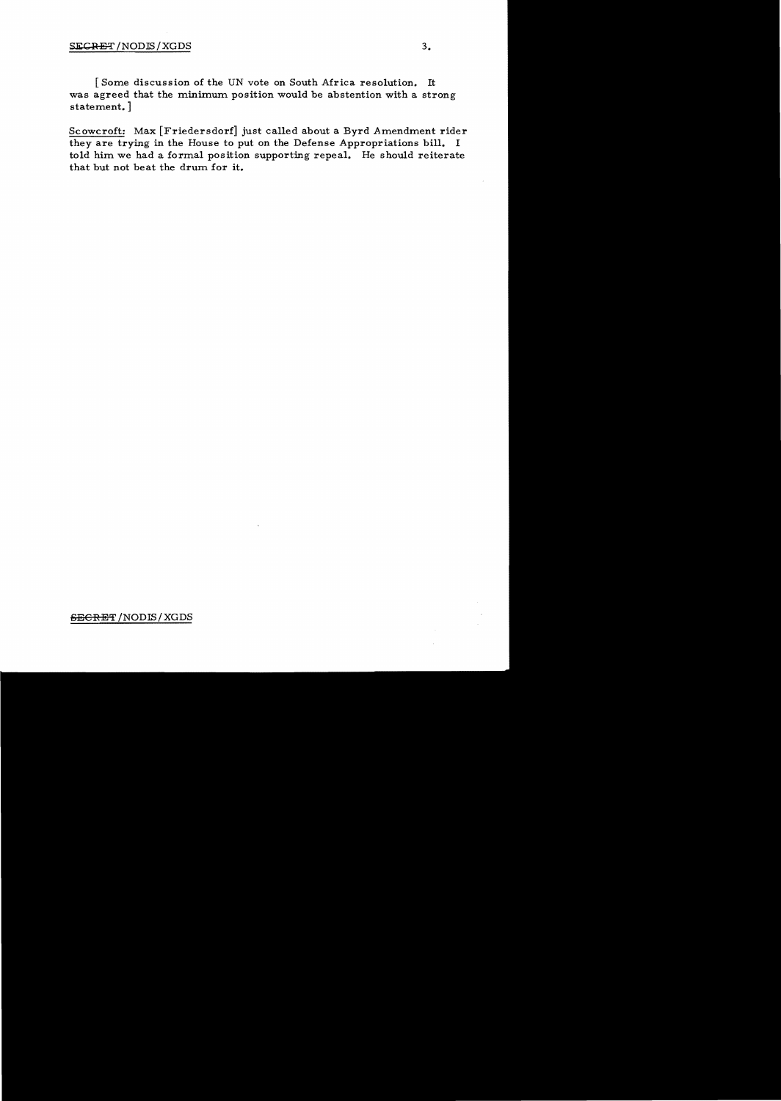## SECRET / NODIS / XGDS 3.

[Some discussion of the UN vote on South Africa resolution. It was agreed that the minimum position would be abstention with a strong statement. ]

they are trying in the House to put on the Defense Appropriations bill. I Scowcroft: Max [Friedersdorf] just called about a Byrd Amendment rider told him we had a formal position supporting repeal. He should reiterate that but not beat the drum for it.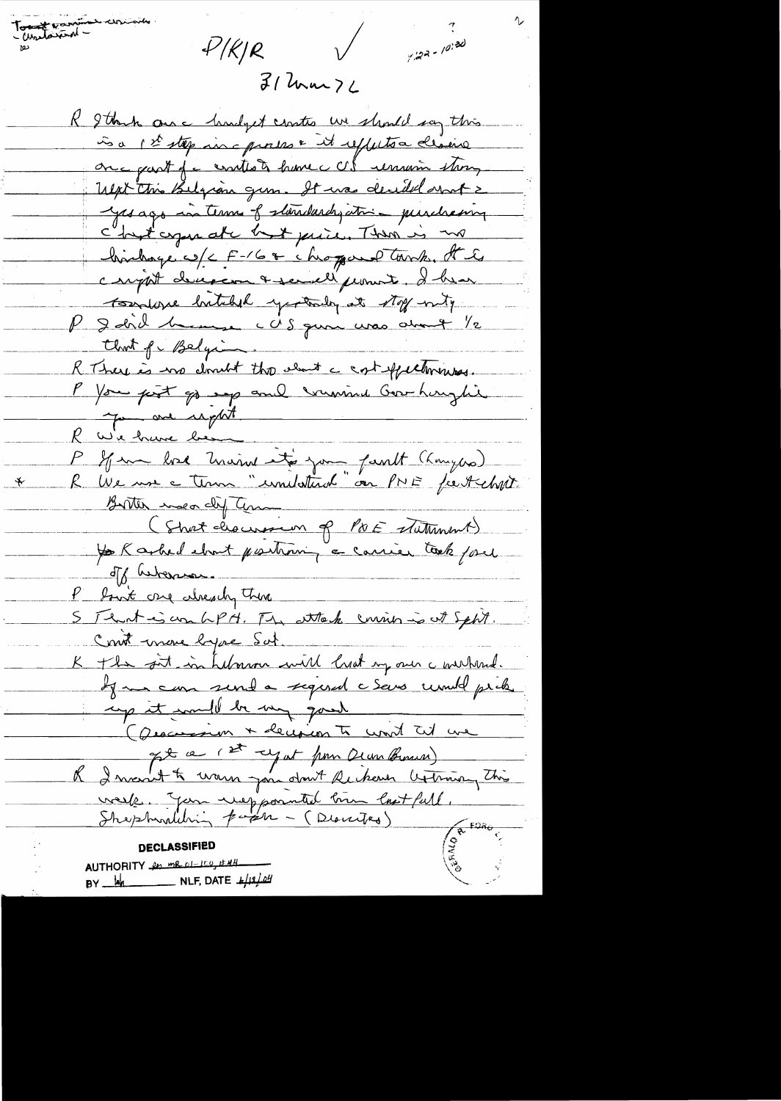$4/(k)R$ 

Tour province ericoin

 $y:22 - 10:20$ 

 $31$  lum  $76$ 

 $\sqrt{ }$ 

R I think are hindget contro we should say this is a pet stép aire processe it reffects a déseire Ulpt this Belgion gum. It was decided anot 2 yes ago in terms of standardy ation purchasing c'hast agan at c'est puis. Then is no hindage w/c F-16+ chopand tork. It is carpot decepcion & secreti promote. I have tourse butched yestedy at stop with P 2 did 1 mars c US qu'a une divret 1/2 Clark of Belgion. R There is no doubt the cloud a cost effectivenes. P You prot go up and winning Governoytic you are regart <u>R w'e have be</u> R by monde mains it's jou faut (komples)  $\rightarrow$ Birther meadif Tem (Short cliencion of POE statement) of hebens. P bout one when there S Tent is un LPH. The attack curies is at Sept. Comt more hype Sut. K the sit in Library will lisat my our c wirkind. If me can sent a signed c sens unud pick in eige it would be my good (Quecession + decision to word til we It a 1st cyat pour Deux Brown & I mont to warm you don't Rechan Ceptimony this week Jan niepponted bin last full. **DECLASSIFIED** AUTHORITY in me of 100, EMH  $BY$   $\frac{1}{4}$  NLF, DATE  $\frac{1}{4}$